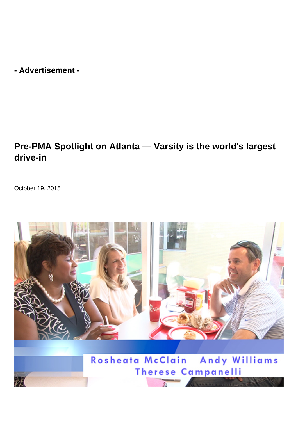**- Advertisement -**

## **Pre-PMA Spotlight on Atlanta — Varsity is the world's largest drive-in**

October 19, 2015



Rosheata McClain Andy Williams **Therese Campanelli** 

办